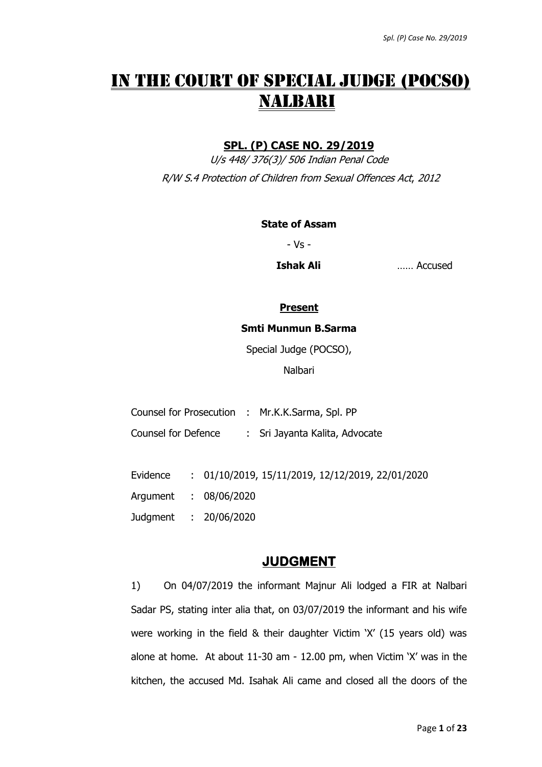# IN THE COURT OF SPECIAL JUDGE (POCSO) NALBARI

## **SPL. (P) CASE NO. 29/2019**

U/s 448/ 376(3)/ 506 Indian Penal Code R/W S.4 Protection of Children from Sexual Offences Act, 2012

#### **State of Assam**

- Vs -

**Ishak Ali** …… Accused

#### **Present**

#### **Smti Munmun B.Sarma**

Special Judge (POCSO),

Nalbari

| Counsel for Prosecution : Mr.K.K.Sarma, Spl. PP |                                |  |
|-------------------------------------------------|--------------------------------|--|
| Counsel for Defence                             | : Sri Jayanta Kalita, Advocate |  |
|                                                 |                                |  |

Evidence : 01/10/2019, 15/11/2019, 12/12/2019, 22/01/2020

Argument : 08/06/2020

Judgment : 20/06/2020

# **JUDGMENT**

1) On 04/07/2019 the informant Majnur Ali lodged a FIR at Nalbari Sadar PS, stating inter alia that, on 03/07/2019 the informant and his wife were working in the field & their daughter Victim 'X' (15 years old) was alone at home. At about 11-30 am - 12.00 pm, when Victim 'X' was in the kitchen, the accused Md. Isahak Ali came and closed all the doors of the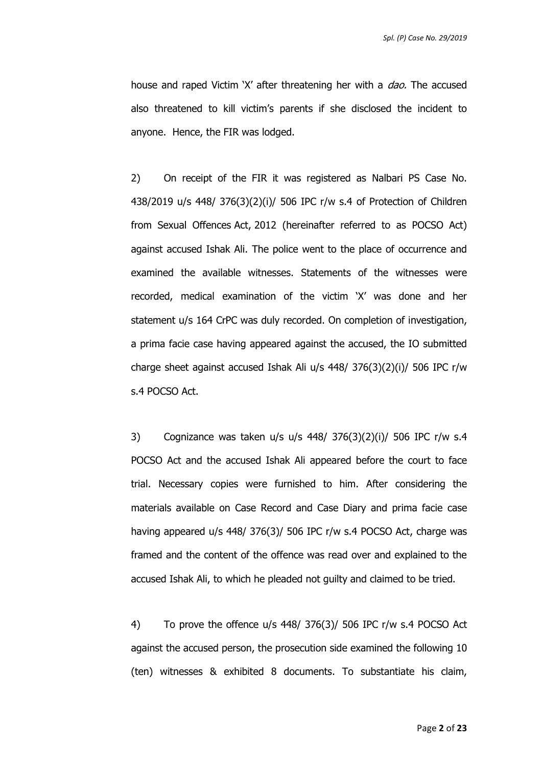house and raped Victim 'X' after threatening her with a *dao*. The accused also threatened to kill victim's parents if she disclosed the incident to anyone. Hence, the FIR was lodged.

2) On receipt of the FIR it was registered as Nalbari PS Case No. 438/2019 u/s 448/ 376(3)(2)(i)/ 506 IPC r/w s.4 of Protection of Children from Sexual Offences Act, 2012 (hereinafter referred to as POCSO Act) against accused Ishak Ali. The police went to the place of occurrence and examined the available witnesses. Statements of the witnesses were recorded, medical examination of the victim 'X' was done and her statement u/s 164 CrPC was duly recorded. On completion of investigation, a prima facie case having appeared against the accused, the IO submitted charge sheet against accused Ishak Ali u/s 448/ 376(3)(2)(i)/ 506 IPC r/w s.4 POCSO Act.

3) Cognizance was taken u/s u/s 448/ 376(3)(2)(i)/ 506 IPC r/w s.4 POCSO Act and the accused Ishak Ali appeared before the court to face trial. Necessary copies were furnished to him. After considering the materials available on Case Record and Case Diary and prima facie case having appeared u/s 448/ 376(3)/ 506 IPC r/w s.4 POCSO Act, charge was framed and the content of the offence was read over and explained to the accused Ishak Ali, to which he pleaded not guilty and claimed to be tried.

4) To prove the offence u/s 448/ 376(3)/ 506 IPC r/w s.4 POCSO Act against the accused person, the prosecution side examined the following 10 (ten) witnesses & exhibited 8 documents. To substantiate his claim,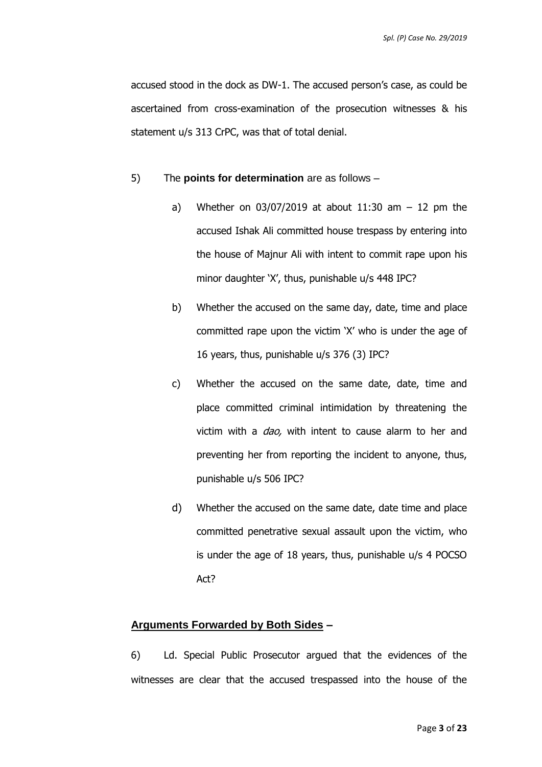accused stood in the dock as DW-1. The accused person's case, as could be ascertained from cross-examination of the prosecution witnesses & his statement u/s 313 CrPC, was that of total denial.

#### 5) The **points for determination** are as follows –

- a) Whether on  $03/07/2019$  at about 11:30 am  $-12$  pm the accused Ishak Ali committed house trespass by entering into the house of Majnur Ali with intent to commit rape upon his minor daughter 'X', thus, punishable u/s 448 IPC?
- b) Whether the accused on the same day, date, time and place committed rape upon the victim 'X' who is under the age of 16 years, thus, punishable u/s 376 (3) IPC?
- c) Whether the accused on the same date, date, time and place committed criminal intimidation by threatening the victim with a *dao*, with intent to cause alarm to her and preventing her from reporting the incident to anyone, thus, punishable u/s 506 IPC?
- d) Whether the accused on the same date, date time and place committed penetrative sexual assault upon the victim, who is under the age of 18 years, thus, punishable u/s 4 POCSO Act?

#### **Arguments Forwarded by Both Sides –**

6) Ld. Special Public Prosecutor argued that the evidences of the witnesses are clear that the accused trespassed into the house of the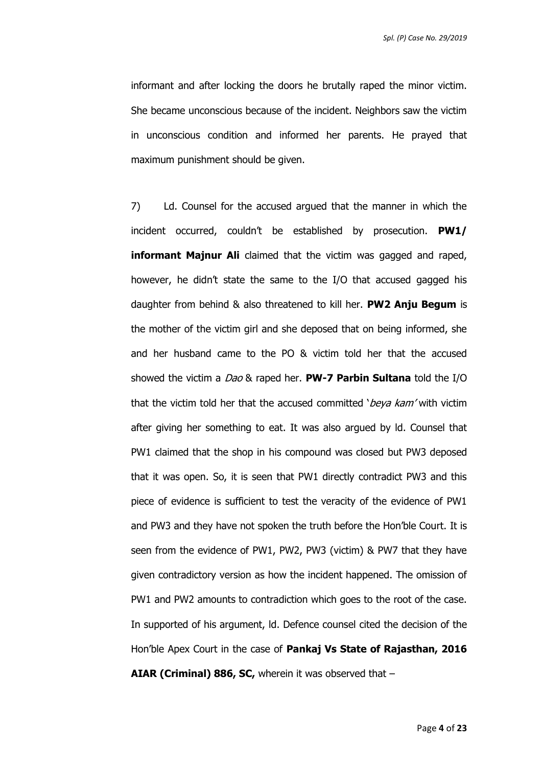informant and after locking the doors he brutally raped the minor victim. She became unconscious because of the incident. Neighbors saw the victim in unconscious condition and informed her parents. He prayed that maximum punishment should be given.

7) Ld. Counsel for the accused argued that the manner in which the incident occurred, couldn't be established by prosecution. **PW1/ informant Majnur Ali** claimed that the victim was gagged and raped, however, he didn't state the same to the I/O that accused gagged his daughter from behind & also threatened to kill her. **PW2 Anju Begum** is the mother of the victim girl and she deposed that on being informed, she and her husband came to the PO & victim told her that the accused showed the victim a Dao & raped her. **PW-7 Parbin Sultana** told the I/O that the victim told her that the accused committed 'beya kam' with victim after giving her something to eat. It was also argued by ld. Counsel that PW1 claimed that the shop in his compound was closed but PW3 deposed that it was open. So, it is seen that PW1 directly contradict PW3 and this piece of evidence is sufficient to test the veracity of the evidence of PW1 and PW3 and they have not spoken the truth before the Hon'ble Court. It is seen from the evidence of PW1, PW2, PW3 (victim) & PW7 that they have given contradictory version as how the incident happened. The omission of PW1 and PW2 amounts to contradiction which goes to the root of the case. In supported of his argument, ld. Defence counsel cited the decision of the Hon'ble Apex Court in the case of **Pankaj Vs State of Rajasthan, 2016 AIAR (Criminal) 886, SC,** wherein it was observed that –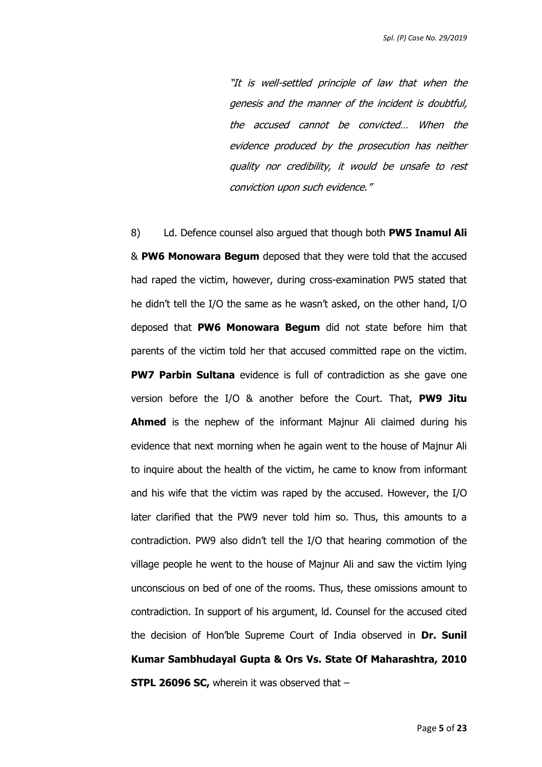"It is well-settled principle of law that when the genesis and the manner of the incident is doubtful, the accused cannot be convicted… When the evidence produced by the prosecution has neither quality nor credibility, it would be unsafe to rest conviction upon such evidence."

8) Ld. Defence counsel also argued that though both **PW5 Inamul Ali** & **PW6 Monowara Begum** deposed that they were told that the accused had raped the victim, however, during cross-examination PW5 stated that he didn't tell the I/O the same as he wasn't asked, on the other hand, I/O deposed that **PW6 Monowara Begum** did not state before him that parents of the victim told her that accused committed rape on the victim. **PW7 Parbin Sultana** evidence is full of contradiction as she gave one version before the I/O & another before the Court. That, **PW9 Jitu Ahmed** is the nephew of the informant Majnur Ali claimed during his evidence that next morning when he again went to the house of Majnur Ali to inquire about the health of the victim, he came to know from informant and his wife that the victim was raped by the accused. However, the I/O later clarified that the PW9 never told him so. Thus, this amounts to a contradiction. PW9 also didn't tell the I/O that hearing commotion of the village people he went to the house of Majnur Ali and saw the victim lying unconscious on bed of one of the rooms. Thus, these omissions amount to contradiction. In support of his argument, ld. Counsel for the accused cited the decision of Hon'ble Supreme Court of India observed in **Dr. Sunil Kumar Sambhudayal Gupta & Ors Vs. State Of Maharashtra, 2010 STPL 26096 SC, wherein it was observed that -**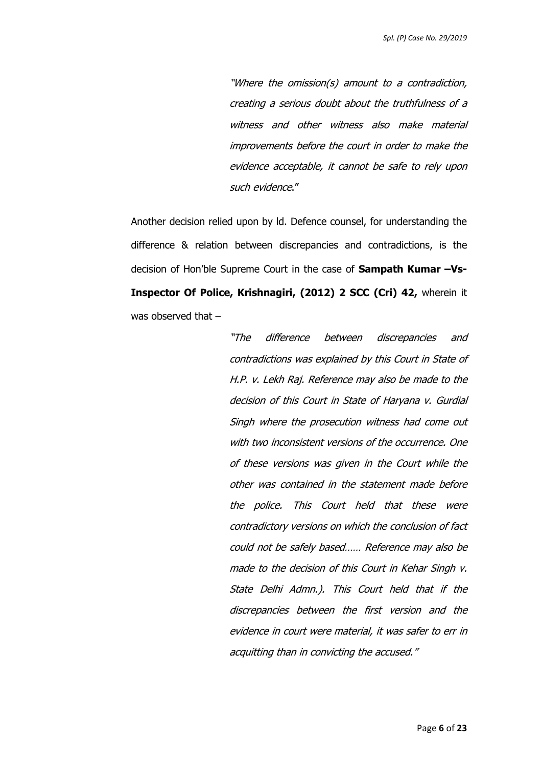"Where the omission(s) amount to a contradiction, creating a serious doubt about the truthfulness of a witness and other witness also make material improvements before the court in order to make the evidence acceptable, it cannot be safe to rely upon such evidence."

Another decision relied upon by ld. Defence counsel, for understanding the difference & relation between discrepancies and contradictions, is the decision of Hon'ble Supreme Court in the case of **Sampath Kumar –Vs-Inspector Of Police, Krishnagiri, (2012) 2 SCC (Cri) 42,** wherein it was observed that –

> "The difference between discrepancies and contradictions was explained by this Court in State of H.P. v. Lekh Raj. Reference may also be made to the decision of this Court in State of Haryana v. Gurdial Singh where the prosecution witness had come out with two inconsistent versions of the occurrence. One of these versions was given in the Court while the other was contained in the statement made before the police. This Court held that these were contradictory versions on which the conclusion of fact could not be safely based…… Reference may also be made to the decision of this Court in Kehar Singh v. State Delhi Admn.). This Court held that if the discrepancies between the first version and the evidence in court were material, it was safer to err in acquitting than in convicting the accused."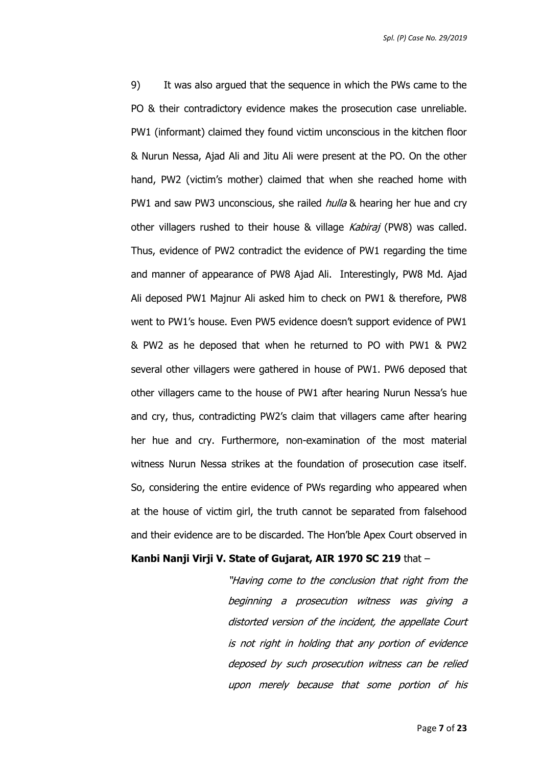9) It was also argued that the sequence in which the PWs came to the PO & their contradictory evidence makes the prosecution case unreliable. PW1 (informant) claimed they found victim unconscious in the kitchen floor & Nurun Nessa, Ajad Ali and Jitu Ali were present at the PO. On the other hand, PW2 (victim's mother) claimed that when she reached home with PW1 and saw PW3 unconscious, she railed *hulla* & hearing her hue and cry other villagers rushed to their house & village Kabiraj (PW8) was called. Thus, evidence of PW2 contradict the evidence of PW1 regarding the time and manner of appearance of PW8 Ajad Ali. Interestingly, PW8 Md. Ajad Ali deposed PW1 Majnur Ali asked him to check on PW1 & therefore, PW8 went to PW1's house. Even PW5 evidence doesn't support evidence of PW1 & PW2 as he deposed that when he returned to PO with PW1 & PW2 several other villagers were gathered in house of PW1. PW6 deposed that other villagers came to the house of PW1 after hearing Nurun Nessa's hue and cry, thus, contradicting PW2's claim that villagers came after hearing her hue and cry. Furthermore, non-examination of the most material witness Nurun Nessa strikes at the foundation of prosecution case itself. So, considering the entire evidence of PWs regarding who appeared when at the house of victim girl, the truth cannot be separated from falsehood and their evidence are to be discarded. The Hon'ble Apex Court observed in

#### **Kanbi Nanji Virji V. State of Gujarat, AIR 1970 SC 219** that –

"Having come to the conclusion that right from the beginning a prosecution witness was giving a distorted version of the incident, the appellate Court is not right in holding that any portion of evidence deposed by such prosecution witness can be relied upon merely because that some portion of his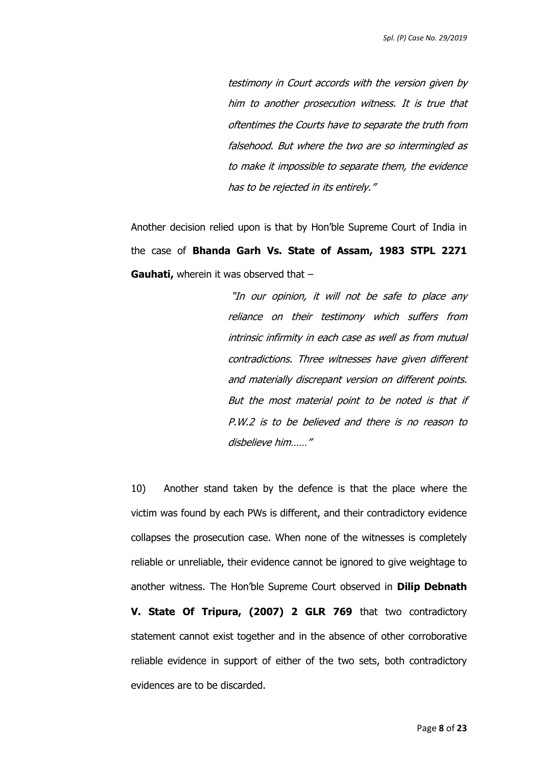testimony in Court accords with the version given by him to another prosecution witness. It is true that oftentimes the Courts have to separate the truth from falsehood. But where the two are so intermingled as to make it impossible to separate them, the evidence has to be rejected in its entirely."

Another decision relied upon is that by Hon'ble Supreme Court of India in the case of **Bhanda Garh Vs. State of Assam, 1983 STPL 2271 Gauhati,** wherein it was observed that –

> "In our opinion, it will not be safe to place any reliance on their testimony which suffers from intrinsic infirmity in each case as well as from mutual contradictions. Three witnesses have given different and materially discrepant version on different points. But the most material point to be noted is that if P.W.2 is to be believed and there is no reason to disbelieve him……"

10) Another stand taken by the defence is that the place where the victim was found by each PWs is different, and their contradictory evidence collapses the prosecution case. When none of the witnesses is completely reliable or unreliable, their evidence cannot be ignored to give weightage to another witness. The Hon'ble Supreme Court observed in **Dilip Debnath V. State Of Tripura, (2007) 2 GLR 769** that two contradictory statement cannot exist together and in the absence of other corroborative reliable evidence in support of either of the two sets, both contradictory evidences are to be discarded.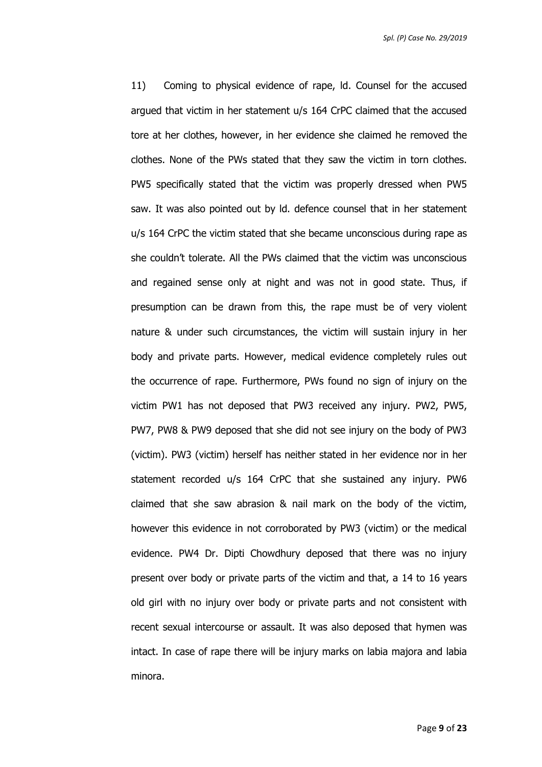11) Coming to physical evidence of rape, ld. Counsel for the accused argued that victim in her statement u/s 164 CrPC claimed that the accused tore at her clothes, however, in her evidence she claimed he removed the clothes. None of the PWs stated that they saw the victim in torn clothes. PW5 specifically stated that the victim was properly dressed when PW5 saw. It was also pointed out by ld. defence counsel that in her statement u/s 164 CrPC the victim stated that she became unconscious during rape as she couldn't tolerate. All the PWs claimed that the victim was unconscious and regained sense only at night and was not in good state. Thus, if presumption can be drawn from this, the rape must be of very violent nature & under such circumstances, the victim will sustain injury in her body and private parts. However, medical evidence completely rules out the occurrence of rape. Furthermore, PWs found no sign of injury on the victim PW1 has not deposed that PW3 received any injury. PW2, PW5, PW7, PW8 & PW9 deposed that she did not see injury on the body of PW3 (victim). PW3 (victim) herself has neither stated in her evidence nor in her statement recorded u/s 164 CrPC that she sustained any injury. PW6 claimed that she saw abrasion & nail mark on the body of the victim, however this evidence in not corroborated by PW3 (victim) or the medical evidence. PW4 Dr. Dipti Chowdhury deposed that there was no injury present over body or private parts of the victim and that, a 14 to 16 years old girl with no injury over body or private parts and not consistent with recent sexual intercourse or assault. It was also deposed that hymen was intact. In case of rape there will be injury marks on labia majora and labia minora.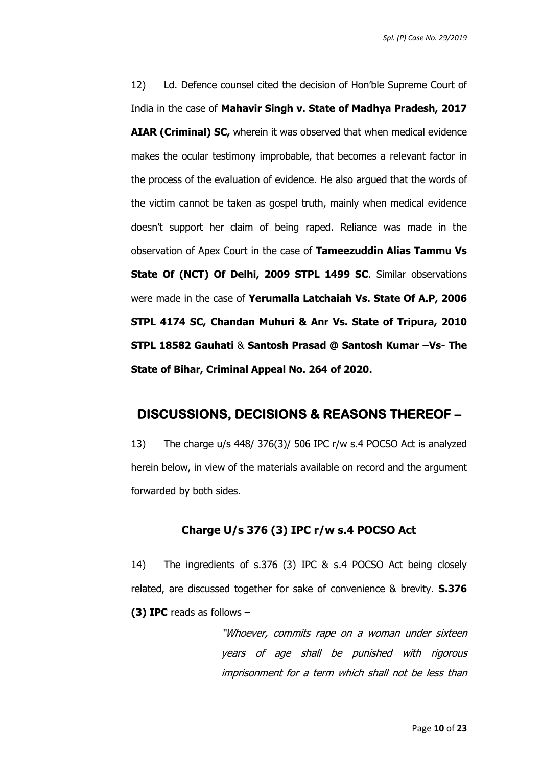12) Ld. Defence counsel cited the decision of Hon'ble Supreme Court of India in the case of **Mahavir Singh v. State of Madhya Pradesh, 2017 AIAR (Criminal) SC,** wherein it was observed that when medical evidence makes the ocular testimony improbable, that becomes a relevant factor in the process of the evaluation of evidence. He also argued that the words of the victim cannot be taken as gospel truth, mainly when medical evidence doesn't support her claim of being raped. Reliance was made in the observation of Apex Court in the case of **Tameezuddin Alias Tammu Vs State Of (NCT) Of Delhi, 2009 STPL 1499 SC**. Similar observations were made in the case of **Yerumalla Latchaiah Vs. State Of A.P, 2006 STPL 4174 SC, Chandan Muhuri & Anr Vs. State of Tripura, 2010 STPL 18582 Gauhati** & **Santosh Prasad @ Santosh Kumar –Vs- The State of Bihar, Criminal Appeal No. 264 of 2020.**

### **DISCUSSIONS, DECISIONS & REASONS THEREOF –**

13) The charge u/s 448/ 376(3)/ 506 IPC r/w s.4 POCSO Act is analyzed herein below, in view of the materials available on record and the argument forwarded by both sides.

#### **Charge U/s 376 (3) IPC r/w s.4 POCSO Act**

14) The ingredients of s.376 (3) IPC & s.4 POCSO Act being closely related, are discussed together for sake of convenience & brevity. **S.376 (3) IPC** reads as follows –

> "Whoever, commits rape on a woman under sixteen years of age shall be punished with rigorous imprisonment for a term which shall not be less than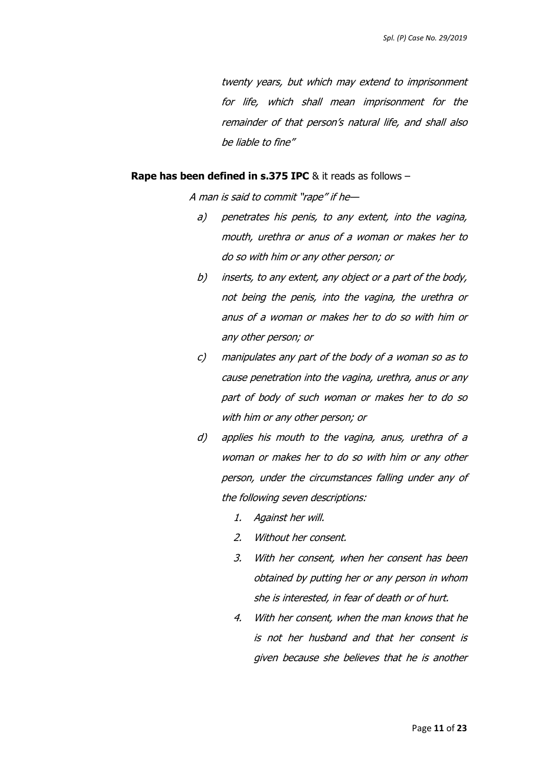twenty years, but which may extend to imprisonment for life, which shall mean imprisonment for the remainder of that person's natural life, and shall also be liable to fine"

#### **Rape has been defined in s.375 IPC** & it reads as follows -

A man is said to commit "rape" if he—

- a) penetrates his penis, to any extent, into the vagina, mouth, urethra or anus of a woman or makes her to do so with him or any other person; or
- b) inserts, to any extent, any object or a part of the body, not being the penis, into the vagina, the urethra or anus of a woman or makes her to do so with him or any other person; or
- c) manipulates any part of the body of a woman so as to cause penetration into the vagina, urethra, anus or any part of body of such woman or makes her to do so with him or any other person; or
- d) applies his mouth to the vagina, anus, urethra of a woman or makes her to do so with him or any other person, under the circumstances falling under any of the following seven descriptions:
	- 1. Against her will.
	- 2. Without her consent.
	- 3. With her consent, when her consent has been obtained by putting her or any person in whom she is interested, in fear of death or of hurt.
	- 4. With her consent, when the man knows that he is not her husband and that her consent is given because she believes that he is another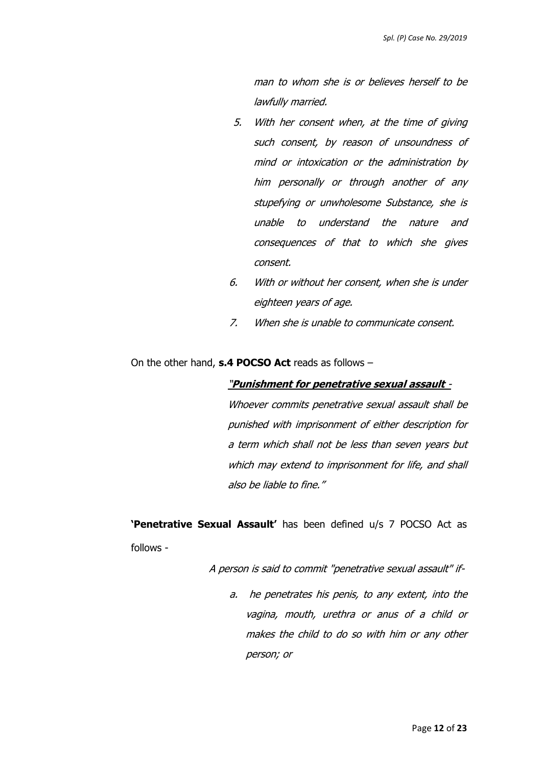man to whom she is or believes herself to be lawfully married.

- 5. With her consent when, at the time of giving such consent, by reason of unsoundness of mind or intoxication or the administration by him personally or through another of any stupefying or unwholesome Substance, she is unable to understand the nature and consequences of that to which she gives consent.
- 6. With or without her consent, when she is under eighteen years of age.
- 7. When she is unable to communicate consent.

On the other hand, **s.4 POCSO Act** reads as follows –

#### "**Punishment for penetrative sexual assault** -

Whoever commits penetrative sexual assault shall be punished with imprisonment of either description for a term which shall not be less than seven years but which may extend to imprisonment for life, and shall also be liable to fine."

**'Penetrative Sexual Assault'** has been defined u/s 7 POCSO Act as follows -

A person is said to commit "penetrative sexual assault" if-

a. he penetrates his penis, to any extent, into the vagina, mouth, urethra or anus of a child or makes the child to do so with him or any other person; or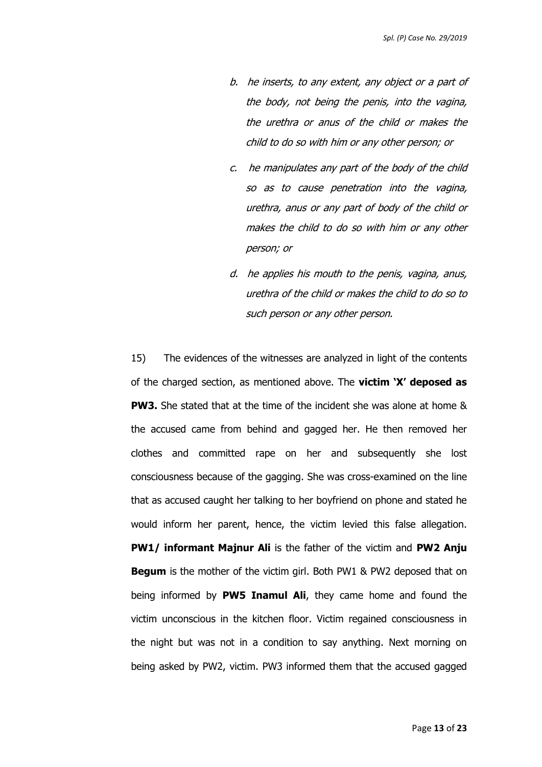- b. he inserts, to any extent, any object or a part of the body, not being the penis, into the vagina, the urethra or anus of the child or makes the child to do so with him or any other person; or
- c. he manipulates any part of the body of the child so as to cause penetration into the vagina, urethra, anus or any part of body of the child or makes the child to do so with him or any other person; or
- d. he applies his mouth to the penis, vagina, anus, urethra of the child or makes the child to do so to such person or any other person.

15) The evidences of the witnesses are analyzed in light of the contents of the charged section, as mentioned above. The **victim 'X' deposed as PW3.** She stated that at the time of the incident she was alone at home & the accused came from behind and gagged her. He then removed her clothes and committed rape on her and subsequently she lost consciousness because of the gagging. She was cross-examined on the line that as accused caught her talking to her boyfriend on phone and stated he would inform her parent, hence, the victim levied this false allegation. **PW1/ informant Majnur Ali** is the father of the victim and **PW2 Anju Begum** is the mother of the victim girl. Both PW1 & PW2 deposed that on being informed by **PW5 Inamul Ali**, they came home and found the victim unconscious in the kitchen floor. Victim regained consciousness in the night but was not in a condition to say anything. Next morning on being asked by PW2, victim. PW3 informed them that the accused gagged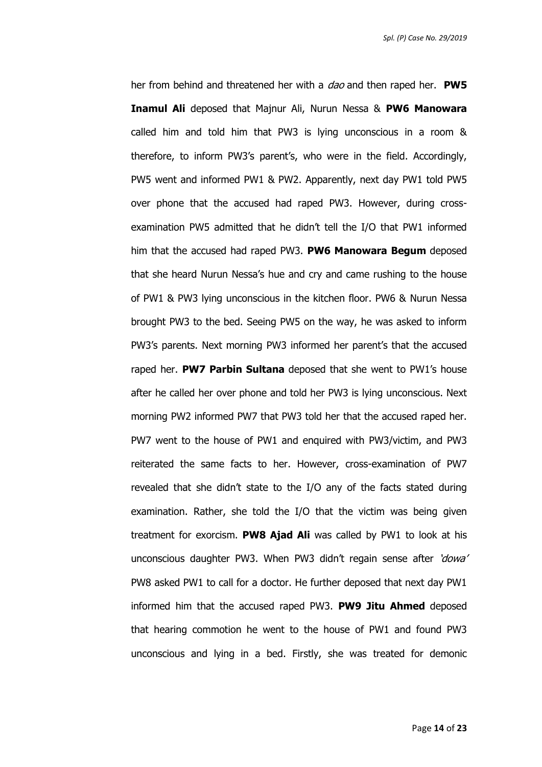*Spl. (P) Case No. 29/2019*

her from behind and threatened her with a dao and then raped her. **PW5 Inamul Ali** deposed that Majnur Ali, Nurun Nessa & **PW6 Manowara** called him and told him that PW3 is lying unconscious in a room & therefore, to inform PW3's parent's, who were in the field. Accordingly, PW5 went and informed PW1 & PW2. Apparently, next day PW1 told PW5 over phone that the accused had raped PW3. However, during crossexamination PW5 admitted that he didn't tell the I/O that PW1 informed him that the accused had raped PW3. **PW6 Manowara Begum** deposed that she heard Nurun Nessa's hue and cry and came rushing to the house of PW1 & PW3 lying unconscious in the kitchen floor. PW6 & Nurun Nessa brought PW3 to the bed. Seeing PW5 on the way, he was asked to inform PW3's parents. Next morning PW3 informed her parent's that the accused raped her. **PW7 Parbin Sultana** deposed that she went to PW1's house after he called her over phone and told her PW3 is lying unconscious. Next morning PW2 informed PW7 that PW3 told her that the accused raped her. PW7 went to the house of PW1 and enquired with PW3/victim, and PW3 reiterated the same facts to her. However, cross-examination of PW7 revealed that she didn't state to the I/O any of the facts stated during examination. Rather, she told the I/O that the victim was being given treatment for exorcism. **PW8 Ajad Ali** was called by PW1 to look at his unconscious daughter PW3. When PW3 didn't regain sense after 'dowa' PW8 asked PW1 to call for a doctor. He further deposed that next day PW1 informed him that the accused raped PW3. **PW9 Jitu Ahmed** deposed that hearing commotion he went to the house of PW1 and found PW3 unconscious and lying in a bed. Firstly, she was treated for demonic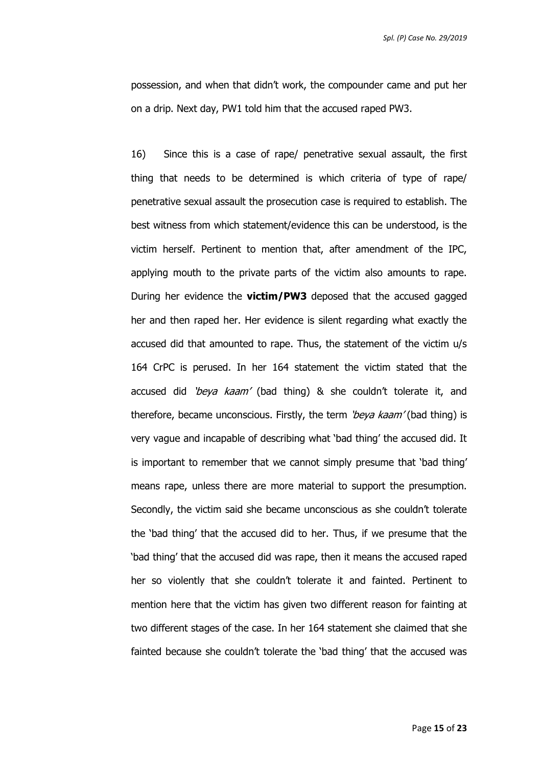possession, and when that didn't work, the compounder came and put her on a drip. Next day, PW1 told him that the accused raped PW3.

16) Since this is a case of rape/ penetrative sexual assault, the first thing that needs to be determined is which criteria of type of rape/ penetrative sexual assault the prosecution case is required to establish. The best witness from which statement/evidence this can be understood, is the victim herself. Pertinent to mention that, after amendment of the IPC, applying mouth to the private parts of the victim also amounts to rape. During her evidence the **victim/PW3** deposed that the accused gagged her and then raped her. Her evidence is silent regarding what exactly the accused did that amounted to rape. Thus, the statement of the victim u/s 164 CrPC is perused. In her 164 statement the victim stated that the accused did 'beya kaam' (bad thing) & she couldn't tolerate it, and therefore, became unconscious. Firstly, the term 'beya kaam' (bad thing) is very vague and incapable of describing what 'bad thing' the accused did. It is important to remember that we cannot simply presume that 'bad thing' means rape, unless there are more material to support the presumption. Secondly, the victim said she became unconscious as she couldn't tolerate the 'bad thing' that the accused did to her. Thus, if we presume that the 'bad thing' that the accused did was rape, then it means the accused raped her so violently that she couldn't tolerate it and fainted. Pertinent to mention here that the victim has given two different reason for fainting at two different stages of the case. In her 164 statement she claimed that she fainted because she couldn't tolerate the 'bad thing' that the accused was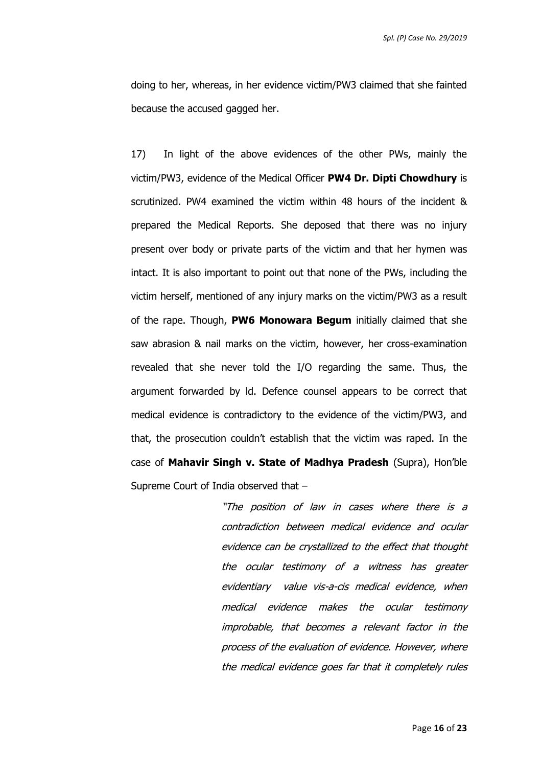*Spl. (P) Case No. 29/2019*

doing to her, whereas, in her evidence victim/PW3 claimed that she fainted because the accused gagged her.

17) In light of the above evidences of the other PWs, mainly the victim/PW3, evidence of the Medical Officer **PW4 Dr. Dipti Chowdhury** is scrutinized. PW4 examined the victim within 48 hours of the incident & prepared the Medical Reports. She deposed that there was no injury present over body or private parts of the victim and that her hymen was intact. It is also important to point out that none of the PWs, including the victim herself, mentioned of any injury marks on the victim/PW3 as a result of the rape. Though, **PW6 Monowara Begum** initially claimed that she saw abrasion & nail marks on the victim, however, her cross-examination revealed that she never told the I/O regarding the same. Thus, the argument forwarded by ld. Defence counsel appears to be correct that medical evidence is contradictory to the evidence of the victim/PW3, and that, the prosecution couldn't establish that the victim was raped. In the case of **Mahavir Singh v. State of Madhya Pradesh** (Supra), Hon'ble Supreme Court of India observed that –

> "The position of law in cases where there is a contradiction between medical evidence and ocular evidence can be crystallized to the effect that thought the ocular testimony of a witness has greater evidentiary value vis-a-cis medical evidence, when medical evidence makes the ocular testimony improbable, that becomes a relevant factor in the process of the evaluation of evidence. However, where the medical evidence goes far that it completely rules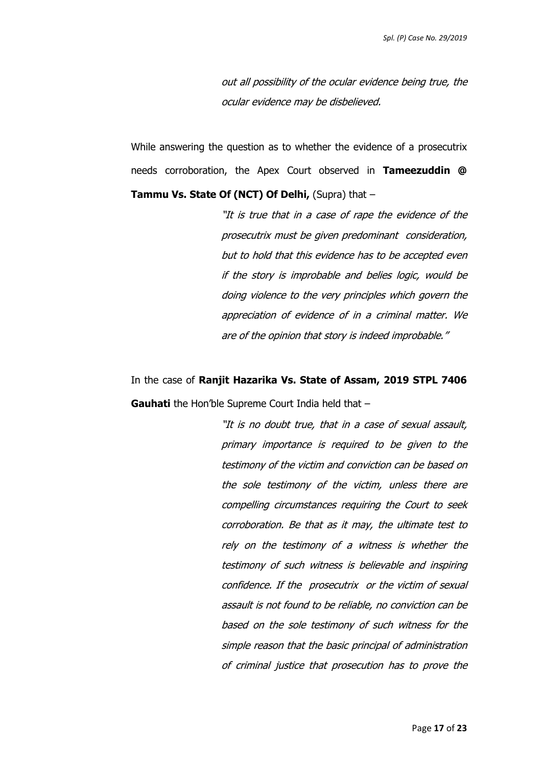out all possibility of the ocular evidence being true, the ocular evidence may be disbelieved.

While answering the question as to whether the evidence of a prosecutrix needs corroboration, the Apex Court observed in **Tameezuddin @ Tammu Vs. State Of (NCT) Of Delhi, (Supra) that -**

> "It is true that in a case of rape the evidence of the prosecutrix must be given predominant consideration, but to hold that this evidence has to be accepted even if the story is improbable and belies logic, would be doing violence to the very principles which govern the appreciation of evidence of in a criminal matter. We are of the opinion that story is indeed improbable."

In the case of **Ranjit Hazarika Vs. State of Assam, 2019 STPL 7406 Gauhati** the Hon'ble Supreme Court India held that –

> "It is no doubt true, that in a case of sexual assault, primary importance is required to be given to the testimony of the victim and conviction can be based on the sole testimony of the victim, unless there are compelling circumstances requiring the Court to seek corroboration. Be that as it may, the ultimate test to rely on the testimony of a witness is whether the testimony of such witness is believable and inspiring confidence. If the prosecutrix or the victim of sexual assault is not found to be reliable, no conviction can be based on the sole testimony of such witness for the simple reason that the basic principal of administration of criminal justice that prosecution has to prove the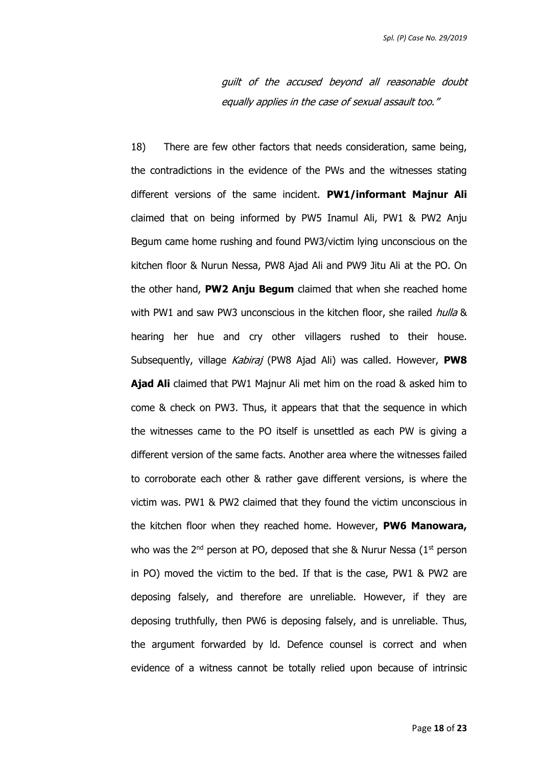guilt of the accused beyond all reasonable doubt equally applies in the case of sexual assault too."

18) There are few other factors that needs consideration, same being, the contradictions in the evidence of the PWs and the witnesses stating different versions of the same incident. **PW1/informant Majnur Ali** claimed that on being informed by PW5 Inamul Ali, PW1 & PW2 Anju Begum came home rushing and found PW3/victim lying unconscious on the kitchen floor & Nurun Nessa, PW8 Ajad Ali and PW9 Jitu Ali at the PO. On the other hand, **PW2 Anju Begum** claimed that when she reached home with PW1 and saw PW3 unconscious in the kitchen floor, she railed hulla & hearing her hue and cry other villagers rushed to their house. Subsequently, village Kabiraj (PW8 Ajad Ali) was called. However, **PW8 Ajad Ali** claimed that PW1 Majnur Ali met him on the road & asked him to come & check on PW3. Thus, it appears that that the sequence in which the witnesses came to the PO itself is unsettled as each PW is giving a different version of the same facts. Another area where the witnesses failed to corroborate each other & rather gave different versions, is where the victim was. PW1 & PW2 claimed that they found the victim unconscious in the kitchen floor when they reached home. However, **PW6 Manowara,**  who was the  $2^{nd}$  person at PO, deposed that she & Nurur Nessa ( $1^{st}$  person in PO) moved the victim to the bed. If that is the case, PW1 & PW2 are deposing falsely, and therefore are unreliable. However, if they are deposing truthfully, then PW6 is deposing falsely, and is unreliable. Thus, the argument forwarded by ld. Defence counsel is correct and when evidence of a witness cannot be totally relied upon because of intrinsic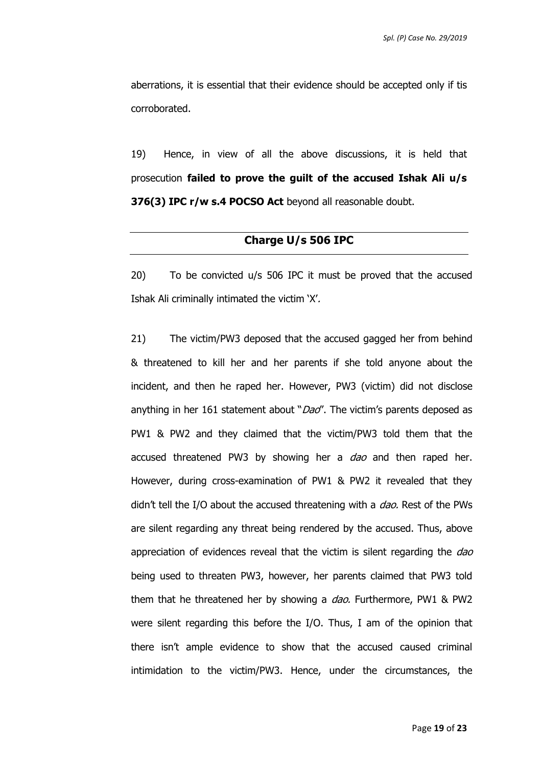aberrations, it is essential that their evidence should be accepted only if tis corroborated.

19) Hence, in view of all the above discussions, it is held that prosecution **failed to prove the guilt of the accused Ishak Ali u/s 376(3) IPC r/w s.4 POCSO Act** beyond all reasonable doubt.

#### **Charge U/s 506 IPC**

20) To be convicted u/s 506 IPC it must be proved that the accused Ishak Ali criminally intimated the victim 'X'.

21) The victim/PW3 deposed that the accused gagged her from behind & threatened to kill her and her parents if she told anyone about the incident, and then he raped her. However, PW3 (victim) did not disclose anything in her 161 statement about "Dao". The victim's parents deposed as PW1 & PW2 and they claimed that the victim/PW3 told them that the accused threatened PW3 by showing her a *dao* and then raped her. However, during cross-examination of PW1 & PW2 it revealed that they didn't tell the I/O about the accused threatening with a *dao*. Rest of the PWs are silent regarding any threat being rendered by the accused. Thus, above appreciation of evidences reveal that the victim is silent regarding the  $dao$ being used to threaten PW3, however, her parents claimed that PW3 told them that he threatened her by showing a *dao*. Furthermore, PW1 & PW2 were silent regarding this before the I/O. Thus, I am of the opinion that there isn't ample evidence to show that the accused caused criminal intimidation to the victim/PW3. Hence, under the circumstances, the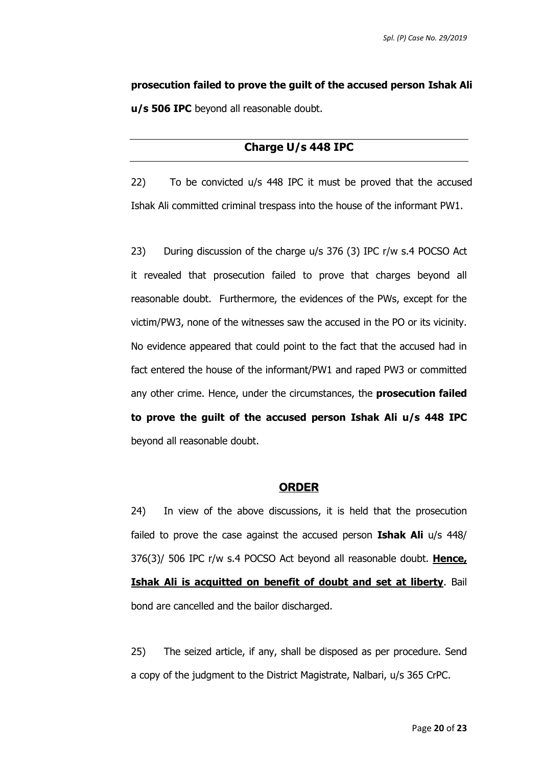**prosecution failed to prove the guilt of the accused person Ishak Ali u/s 506 IPC** beyond all reasonable doubt.

## **Charge U/s 448 IPC**

22) To be convicted u/s 448 IPC it must be proved that the accused Ishak Ali committed criminal trespass into the house of the informant PW1.

23) During discussion of the charge u/s 376 (3) IPC r/w s.4 POCSO Act it revealed that prosecution failed to prove that charges beyond all reasonable doubt. Furthermore, the evidences of the PWs, except for the victim/PW3, none of the witnesses saw the accused in the PO or its vicinity. No evidence appeared that could point to the fact that the accused had in fact entered the house of the informant/PW1 and raped PW3 or committed any other crime. Hence, under the circumstances, the **prosecution failed to prove the guilt of the accused person Ishak Ali u/s 448 IPC** beyond all reasonable doubt.

#### **ORDER**

24) In view of the above discussions, it is held that the prosecution failed to prove the case against the accused person **Ishak Ali** u/s 448/ 376(3)/ 506 IPC r/w s.4 POCSO Act beyond all reasonable doubt. **Hence, Ishak Ali is acquitted on benefit of doubt and set at liberty**. Bail bond are cancelled and the bailor discharged.

25) The seized article, if any, shall be disposed as per procedure. Send a copy of the judgment to the District Magistrate, Nalbari, u/s 365 CrPC.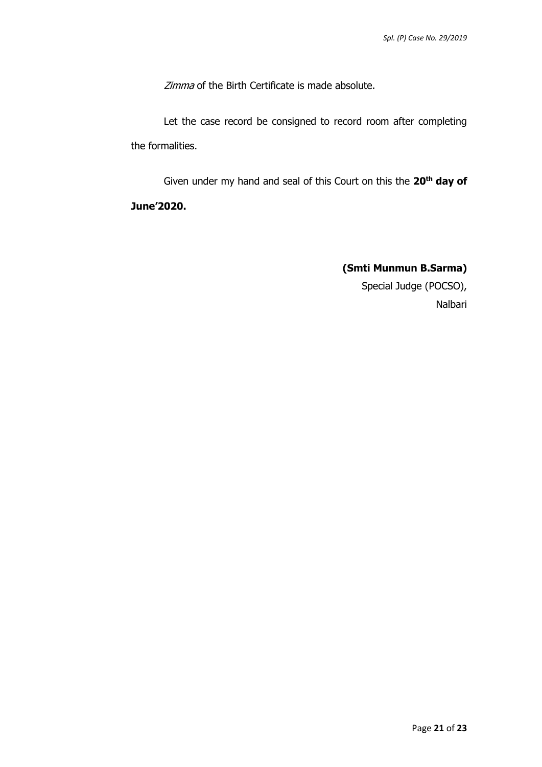Zimma of the Birth Certificate is made absolute.

Let the case record be consigned to record room after completing the formalities.

Given under my hand and seal of this Court on this the **20th day of June'2020.** 

> **(Smti Munmun B.Sarma)** Special Judge (POCSO), Nalbari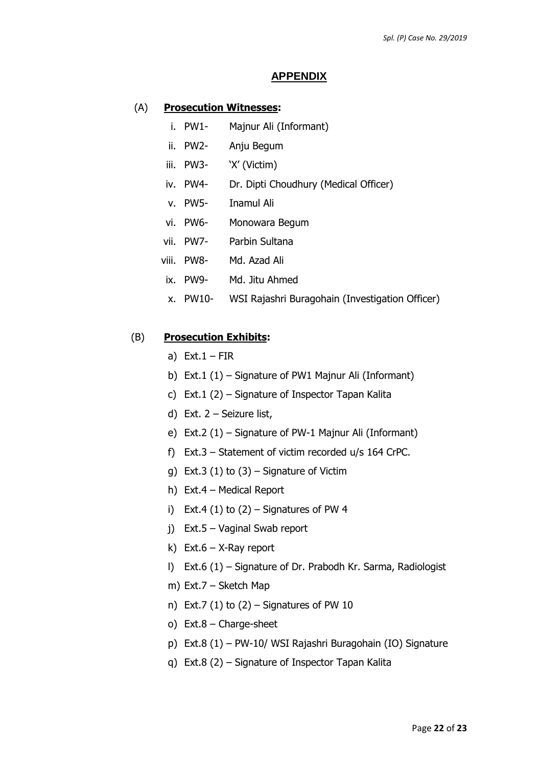#### **APPENDIX**

#### (A) **Prosecution Witnesses:**

- i. PW1- Majnur Ali (Informant)
- ii. PW2- Anju Begum
- iii. PW3- 'X' (Victim)
- iv. PW4- Dr. Dipti Choudhury (Medical Officer)
- v. PW5- Inamul Ali
- vi. PW6- Monowara Begum
- vii. PW7- Parbin Sultana
- viii. PW8- Md. Azad Ali
- ix. PW9- Md. Jitu Ahmed
- x. PW10- WSI Rajashri Buragohain (Investigation Officer)

#### (B) **Prosecution Exhibits:**

- a) Ext.  $1 FIR$
- b) Ext.1 (1) Signature of PW1 Majnur Ali (Informant)
- c) Ext.1 (2) Signature of Inspector Tapan Kalita
- d) Ext. 2 Seizure list,
- e) Ext.2 (1) Signature of PW-1 Majnur Ali (Informant)
- f) Ext.3 Statement of victim recorded u/s 164 CrPC.
- g) Ext.3 (1) to  $(3)$  Signature of Victim
- h) Ext.4 Medical Report
- i) Ext.4  $(1)$  to  $(2)$  Signatures of PW 4
- j) Ext.5 Vaginal Swab report
- k) Ext.6 X-Ray report
- l) Ext.6 (1) Signature of Dr. Prabodh Kr. Sarma, Radiologist
- m) Ext.7 Sketch Map
- n) Ext.7  $(1)$  to  $(2)$  Signatures of PW 10
- o) Ext.8 Charge-sheet
- p) Ext.8 (1) PW-10/ WSI Rajashri Buragohain (IO) Signature
- q) Ext.8 (2) Signature of Inspector Tapan Kalita